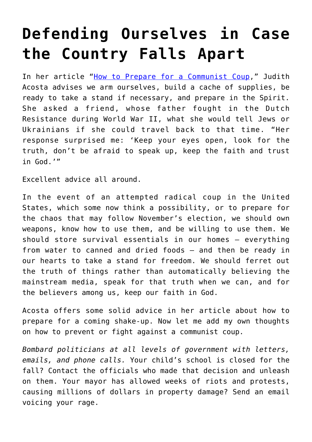## **[Defending Ourselves in Case](https://intellectualtakeout.org/2020/07/defending-ourselves-in-case-the-country-falls-apart/) [the Country Falls Apart](https://intellectualtakeout.org/2020/07/defending-ourselves-in-case-the-country-falls-apart/)**

In her article "[How to Prepare for a Communist Coup,](https://www.americanthinker.com/articles/2020/07/how_to_prepare_for_a_communist_coup.html)" Judith Acosta advises we arm ourselves, build a cache of supplies, be ready to take a stand if necessary, and prepare in the Spirit. She asked a friend, whose father fought in the Dutch Resistance during World War II, what she would tell Jews or Ukrainians if she could travel back to that time. "Her response surprised me: 'Keep your eyes open, look for the truth, don't be afraid to speak up, keep the faith and trust in God.'"

Excellent advice all around.

In the event of an attempted radical coup in the United States, which some now think a possibility, or to prepare for the chaos that may follow November's election, we should own weapons, know how to use them, and be willing to use them. We should store survival essentials in our homes – everything from water to canned and dried foods – and then be ready in our hearts to take a stand for freedom. We should ferret out the truth of things rather than automatically believing the mainstream media, speak for that truth when we can, and for the believers among us, keep our faith in God.

Acosta offers some solid advice in her article about how to prepare for a coming shake-up. Now let me add my own thoughts on how to prevent or fight against a communist coup.

*Bombard politicians at all levels of government with letters, emails, and phone calls.* Your child's school is closed for the fall? Contact the officials who made that decision and unleash on them. Your mayor has allowed weeks of riots and protests, causing millions of dollars in property damage? Send an email voicing your rage.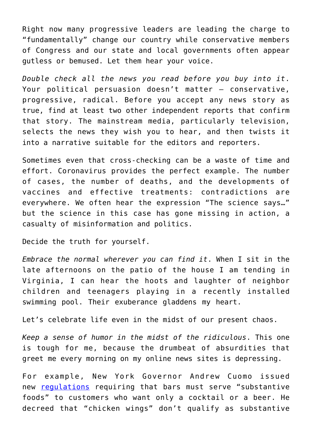Right now many progressive leaders are leading the charge to "fundamentally" change our country while conservative members of Congress and our state and local governments often appear gutless or bemused. Let them hear your voice.

*Double check all the news you read before you buy into it*. Your political persuasion doesn't matter – conservative, progressive, radical. Before you accept any news story as true, find at least two other independent reports that confirm that story. The mainstream media, particularly television, selects the news they wish you to hear, and then twists it into a narrative suitable for the editors and reporters.

Sometimes even that cross-checking can be a waste of time and effort. Coronavirus provides the perfect example. The number of cases, the number of deaths, and the developments of vaccines and effective treatments: contradictions are everywhere. We often hear the expression "The science says…" but the science in this case has gone missing in action, a casualty of misinformation and politics.

Decide the truth for yourself.

*Embrace the normal wherever you can find it*. When I sit in the late afternoons on the patio of the house I am tending in Virginia, I can hear the hoots and laughter of neighbor children and teenagers playing in a recently installed swimming pool. Their exuberance gladdens my heart.

Let's celebrate life even in the midst of our present chaos.

*Keep a sense of humor in the midst of the ridiculous*. This one is tough for me, because the drumbeat of absurdities that greet me every morning on my online news sites is depressing.

For example, New York Governor Andrew Cuomo issued new [regulations](https://reason.com/2020/07/24/andrew-cuomo-bars-new-york-chicken-wings-food/) requiring that bars must serve "substantive foods" to customers who want only a cocktail or a beer. He decreed that "chicken wings" don't qualify as substantive